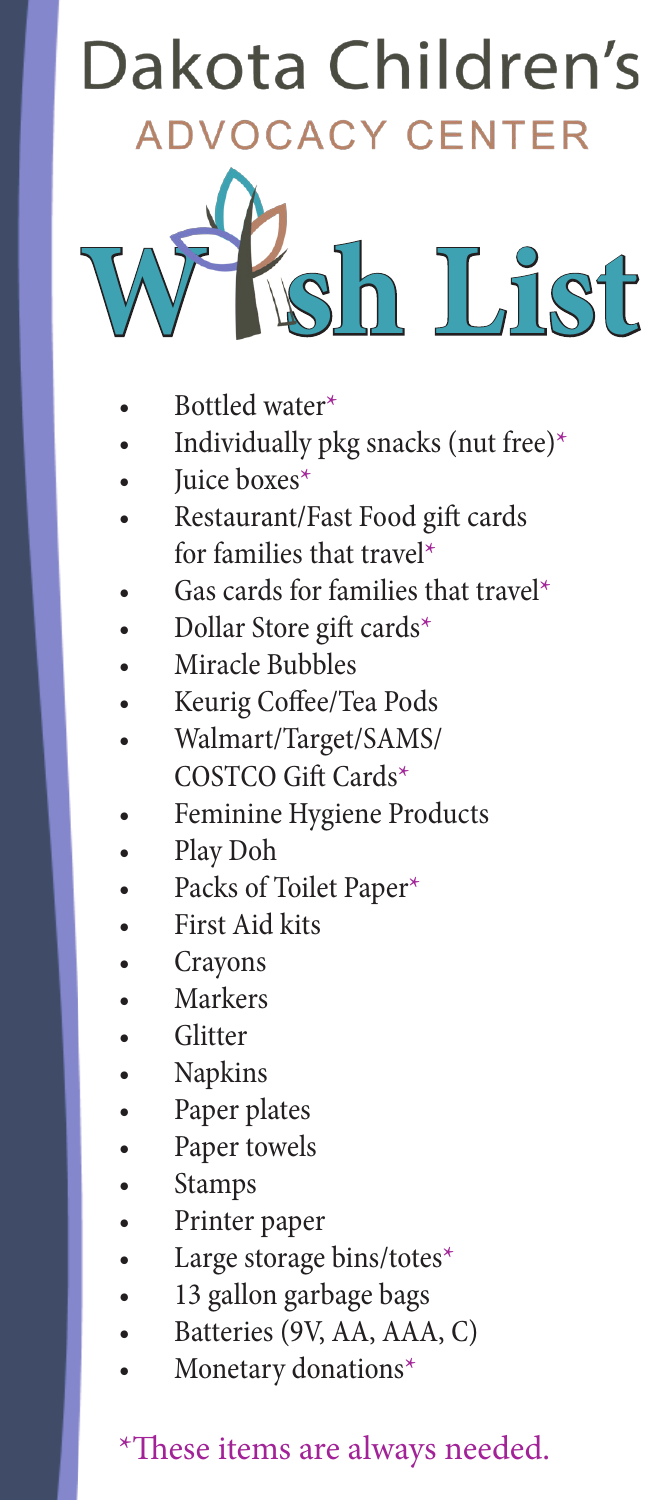## **Dakota Children's Advocacy Center impact 2021 ytd CY CENTER**<br>**19 Forensic Interviews Increase in People Served**



- Bottled water\*
- Dear Friend of the DCAC, Dear Friend of the DCAC, Individually pkg snacks (nut free)\*
	- $\lim_{x \to \infty}$  have  $\ast$ Juice boxes\*
- "My dianglering in months because she feels safe now that the feels safe now the feels safegures in the feels safegures she feels safely a straight because she feels safely dependent on  $f$  and  $f$  and  $f$  and  $f$  and  $f$  d<br>weles<br>ocentured help because of the<br>precenture of donors like you. **Last year 343 children walked through the doors of the DCAC. These were kids from our community and across western North Dakota. Many were under age 6. Many were victims of sexual, physical, or emotional**  • Restaurant/Fast Food gift cards **for families that travel\***
- $\bullet$  Gas cards for families that travel<sup>\*</sup>  $\mathbf{w}$  **were under agent** *and interviewere <b>p victims or extended p d s* 
	- Dollar Store gift cards\*
	- Miracle Bubbles
- **Last year 343 children walked through the doors of the DCAC. These**   $V_{\text{cubic}}$   $C_{\text{e}}$  from  $T_{\text{e}}$  services, lands • Keurig Coffee/Tea Pods
- **example 3 <b>walmart/Target/SAMS/** • Walmart/Target/SAMS/ COSTCO Gift Cards\*
- **were** *secondo* **and sexual, <b>or** *m* **of sexual, physical, or** *n* **o** *n* **c** *n n n n n n n n n n n n n n n n n n n n n n* • Feminine Hygiene Products
	- Play Doh • Play Doh
- **buse. All official compassion compared compared compared compared compared compared compared compared compared compared compared compared compared compared compared compared compared compared compared compared compared co** • Packs of Toilet Paper\*
	- First Aid kits
- $T_{\text{max}}$  center gathers professionals from social services, lawyers  $\mathcal{L}$ • Crayons
	- Markers
- $\begin{array}{c|c}\n\hline\n\end{array}$  enforcement,  $\begin{array}{c}\n\hline\n\end{array}$ Glitter compassionalistic to continue to compassionary people like you. The set of the vision of the vision of the vision of the vision of the vision of the vision of the vision of the vision of the vision of the vision of • Glitter
	- Napkins
- health communities under one roof. This way, and the roof. This way, and abused child only has to tell his way, and  $\sim$  to the roof. This way, and the roof. This way, and the roof. This way, and the roof. This way, and th • Paper plates
- $\rho$  her story once. Our start goes above and beyond to heal and beyond to heal and beyond to heal and beyond to heal and beyond to heal and beyond to heal and beyond the story of the story of the stress of the stress of • Paper towels
	- **family and helping that cannot even be put into words.** • Stamps

efforts go even further!

- $\blacksquare$  . Printer paper • Printer paper
	- Large storage bins/totes\*
	- 13 gallon garbage bags
- Is gallon garbage bags.<br>• Batteries (9V, AA, AAA, C)
- up<br>ragi<br>(9<br>y c b<br>ba<br>A<br>na **means we see Monetary donations**  $*$ • Monetary donations\*

## **belap <sup>\*</sup>These items are always needed.**